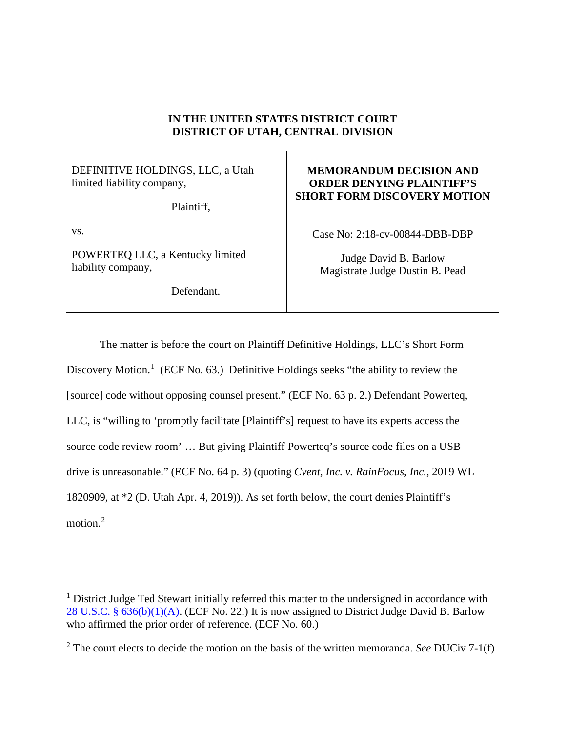## **IN THE UNITED STATES DISTRICT COURT DISTRICT OF UTAH, CENTRAL DIVISION**

## DEFINITIVE HOLDINGS, LLC, a Utah limited liability company,

Plaintiff,

vs.

POWERTEQ LLC, a Kentucky limited liability company,

Defendant.

## **MEMORANDUM DECISION AND ORDER DENYING PLAINTIFF'S SHORT FORM DISCOVERY MOTION**

Case No: 2:18-cv-00844-DBB-DBP

Judge David B. Barlow Magistrate Judge Dustin B. Pead

The matter is before the court on Plaintiff Definitive Holdings, LLC's Short Form Discovery Motion.<sup>[1](#page-0-0)</sup> (ECF No. 63.) Definitive Holdings seeks "the ability to review the [source] code without opposing counsel present." (ECF No. 63 p. 2.) Defendant Powerteq, LLC, is "willing to 'promptly facilitate [Plaintiff's] request to have its experts access the source code review room' … But giving Plaintiff Powerteq's source code files on a USB drive is unreasonable." (ECF No. 64 p. 3) (quoting *Cvent, Inc. v. RainFocus, Inc.*, 2019 WL 1820909, at \*2 (D. Utah Apr. 4, 2019)). As set forth below, the court denies Plaintiff's motion. [2](#page-0-1)

<span id="page-0-0"></span><sup>&</sup>lt;sup>1</sup> District Judge Ted Stewart initially referred this matter to the undersigned in accordance with [28 U.S.C. § 636\(b\)\(1\)\(A\).](https://www.westlaw.com/Document/NE76D7C80E34E11DEA7C5EABE04182D4D/View/FullText.html?transitionType=Default&contextData=(sc.Default)&VR=3.0&RS=da3.0) (ECF No. 22.) It is now assigned to District Judge David B. Barlow who affirmed the prior order of reference. (ECF No. 60.)

<span id="page-0-1"></span><sup>2</sup> The court elects to decide the motion on the basis of the written memoranda. *See* DUCiv 7-1(f)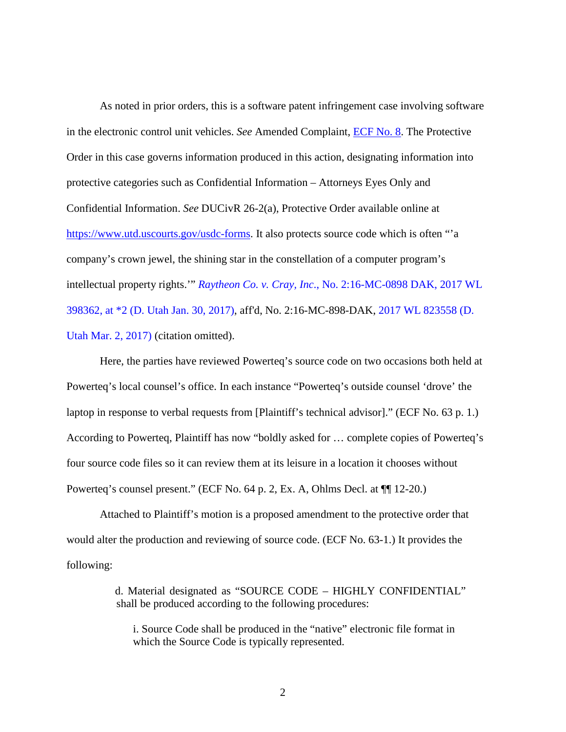As noted in prior orders, this is a software patent infringement case involving software in the electronic control unit vehicles. *See* Amended Complaint, [ECF No. 8.](https://ecf.utd.uscourts.gov/doc1/18314481387) The Protective Order in this case governs information produced in this action, designating information into protective categories such as Confidential Information – Attorneys Eyes Only and Confidential Information. *See* DUCivR 26-2(a), Protective Order available online at [https://www.utd.uscourts.gov/usdc-forms.](https://www.utd.uscourts.gov/usdc-forms) It also protects source code which is often "'a company's crown jewel, the shining star in the constellation of a computer program's intellectual property rights.'" *Raytheon Co. v. Cray, Inc*[., No. 2:16-MC-0898 DAK, 2017 WL](https://www.westlaw.com/Document/I1927a260e7ba11e681b2a67ea2e2f62b/View/FullText.html?transitionType=Default&contextData=(sc.Default)&VR=3.0&RS=da3.0&fragmentIdentifier=co_pp_sp_999_2)  [398362, at \\*2 \(D. Utah Jan. 30, 2017\),](https://www.westlaw.com/Document/I1927a260e7ba11e681b2a67ea2e2f62b/View/FullText.html?transitionType=Default&contextData=(sc.Default)&VR=3.0&RS=da3.0&fragmentIdentifier=co_pp_sp_999_2) aff'd, No. 2:16-MC-898-DAK, [2017 WL 823558 \(D.](https://www.westlaw.com/Document/I2bf6a2b0001011e781b2a67ea2e2f62b/View/FullText.html?transitionType=Default&contextData=(sc.Default)&VR=3.0&RS=da3.0)  [Utah Mar. 2, 2017\)](https://www.westlaw.com/Document/I2bf6a2b0001011e781b2a67ea2e2f62b/View/FullText.html?transitionType=Default&contextData=(sc.Default)&VR=3.0&RS=da3.0) (citation omitted).

Here, the parties have reviewed Powerteq's source code on two occasions both held at Powerteq's local counsel's office. In each instance "Powerteq's outside counsel 'drove' the laptop in response to verbal requests from [Plaintiff's technical advisor]." (ECF No. 63 p. 1.) According to Powerteq, Plaintiff has now "boldly asked for … complete copies of Powerteq's four source code files so it can review them at its leisure in a location it chooses without Powerteq's counsel present." (ECF No. 64 p. 2, Ex. A, Ohlms Decl. at ¶¶ 12-20.)

Attached to Plaintiff's motion is a proposed amendment to the protective order that would alter the production and reviewing of source code. (ECF No. 63-1.) It provides the following:

> d. Material designated as "SOURCE CODE – HIGHLY CONFIDENTIAL" shall be produced according to the following procedures:

i. Source Code shall be produced in the "native" electronic file format in which the Source Code is typically represented.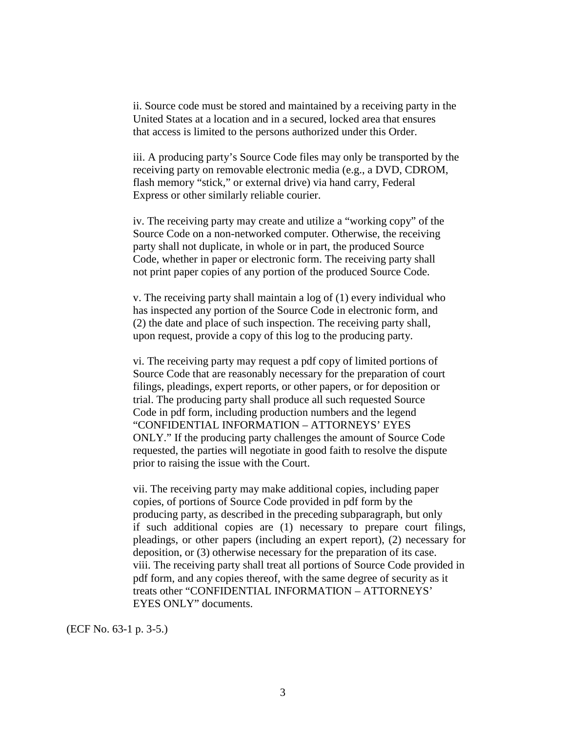ii. Source code must be stored and maintained by a receiving party in the United States at a location and in a secured, locked area that ensures that access is limited to the persons authorized under this Order.

iii. A producing party's Source Code files may only be transported by the receiving party on removable electronic media (e.g., a DVD, CDROM, flash memory "stick," or external drive) via hand carry, Federal Express or other similarly reliable courier.

iv. The receiving party may create and utilize a "working copy" of the Source Code on a non-networked computer. Otherwise, the receiving party shall not duplicate, in whole or in part, the produced Source Code, whether in paper or electronic form. The receiving party shall not print paper copies of any portion of the produced Source Code.

v. The receiving party shall maintain a log of (1) every individual who has inspected any portion of the Source Code in electronic form, and (2) the date and place of such inspection. The receiving party shall, upon request, provide a copy of this log to the producing party.

vi. The receiving party may request a pdf copy of limited portions of Source Code that are reasonably necessary for the preparation of court filings, pleadings, expert reports, or other papers, or for deposition or trial. The producing party shall produce all such requested Source Code in pdf form, including production numbers and the legend "CONFIDENTIAL INFORMATION – ATTORNEYS' EYES ONLY." If the producing party challenges the amount of Source Code requested, the parties will negotiate in good faith to resolve the dispute prior to raising the issue with the Court.

vii. The receiving party may make additional copies, including paper copies, of portions of Source Code provided in pdf form by the producing party, as described in the preceding subparagraph, but only if such additional copies are (1) necessary to prepare court filings, pleadings, or other papers (including an expert report), (2) necessary for deposition, or (3) otherwise necessary for the preparation of its case. viii. The receiving party shall treat all portions of Source Code provided in pdf form, and any copies thereof, with the same degree of security as it treats other "CONFIDENTIAL INFORMATION – ATTORNEYS' EYES ONLY" documents.

(ECF No. 63-1 p. 3-5.)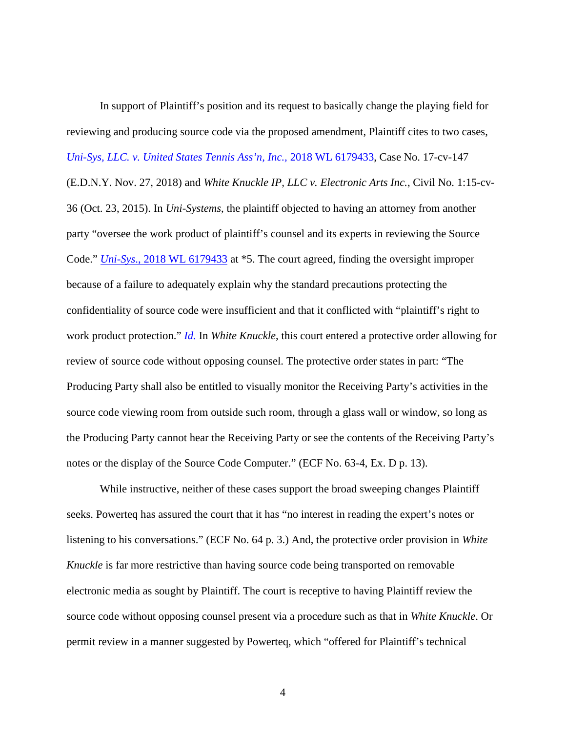In support of Plaintiff's position and its request to basically change the playing field for reviewing and producing source code via the proposed amendment, Plaintiff cites to two cases, *[Uni-Sys, LLC. v. United States Tennis Ass'n, Inc.,](https://www.westlaw.com/Document/I1c0db4a0f2db11e8a1b0e6625e646f8f/View/FullText.html?transitionType=Default&contextData=(sc.Default)&VR=3.0&RS=da3.0)* 2018 WL 6179433, Case No. 17-cv-147 (E.D.N.Y. Nov. 27, 2018) and *White Knuckle IP, LLC v. Electronic Arts Inc.*, Civil No. 1:15-cv-36 (Oct. 23, 2015). In *Uni-Systems*, the plaintiff objected to having an attorney from another party "oversee the work product of plaintiff's counsel and its experts in reviewing the Source Code." *Uni-Sys*[., 2018 WL 6179433](https://www.westlaw.com/Document/I1c0db4a0f2db11e8a1b0e6625e646f8f/View/FullText.html?transitionType=Default&contextData=(sc.Default)&VR=3.0&RS=da3.0) at \*5. The court agreed, finding the oversight improper because of a failure to adequately explain why the standard precautions protecting the confidentiality of source code were insufficient and that it conflicted with "plaintiff's right to work product protection." *[Id.](https://www.westlaw.com/Document/I1c0db4a0f2db11e8a1b0e6625e646f8f/View/FullText.html?transitionType=Default&contextData=(sc.Default)&VR=3.0&RS=da3.0)* In *White Knuckle*, this court entered a protective order allowing for review of source code without opposing counsel. The protective order states in part: "The Producing Party shall also be entitled to visually monitor the Receiving Party's activities in the source code viewing room from outside such room, through a glass wall or window, so long as the Producing Party cannot hear the Receiving Party or see the contents of the Receiving Party's notes or the display of the Source Code Computer." (ECF No. 63-4, Ex. D p. 13).

While instructive, neither of these cases support the broad sweeping changes Plaintiff seeks. Powerteq has assured the court that it has "no interest in reading the expert's notes or listening to his conversations." (ECF No. 64 p. 3.) And, the protective order provision in *White Knuckle* is far more restrictive than having source code being transported on removable electronic media as sought by Plaintiff. The court is receptive to having Plaintiff review the source code without opposing counsel present via a procedure such as that in *White Knuckle*. Or permit review in a manner suggested by Powerteq, which "offered for Plaintiff's technical

4